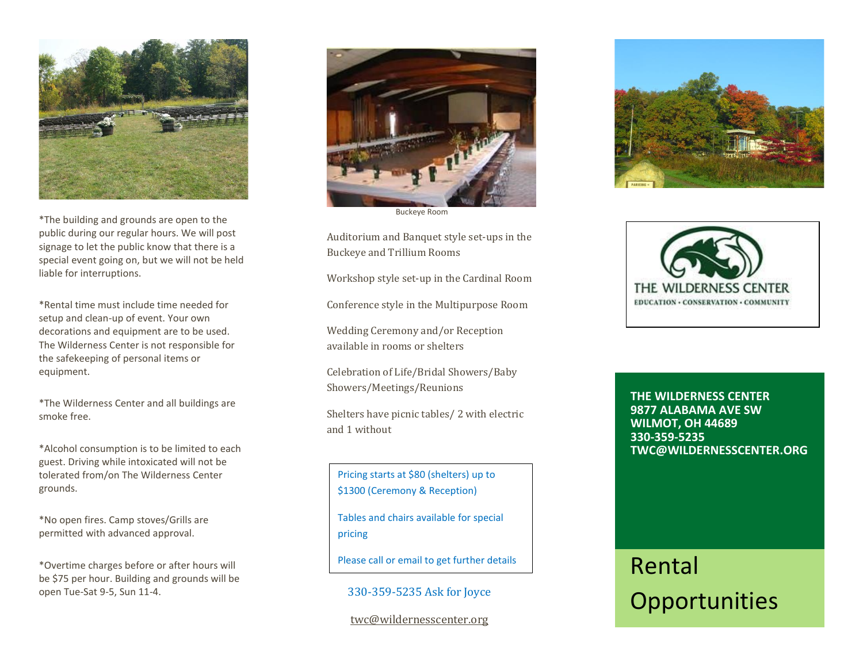

\*The building and grounds are open to the public during our regular hours. We will post signage to let the public know that there is a special event going on, but we will not be held liable for interruptions.

\*Rental time must include time needed for setup and clean-up of event. Your own decorations and equipment are to be used. The Wilderness Center is not responsible for the safekeeping of personal items or equipment.

\*The Wilderness Center and all buildings are smoke free.

\*Alcohol consumption is to be limited to each guest. Driving while intoxicated will not be tolerated from/on The Wilderness Center grounds.

\*No open fires. Camp stoves/Grills are permitted with advanced approval.

\*Overtime charges before or after hours will be \$75 per hour. Building and grounds will be open Tue-Sat 9-5, Sun 11-4.



Buckeye Room

Auditorium and Banquet style set-ups in the Buckeye and Trillium Rooms

Workshop style set-up in the Cardinal Room

Conference style in the Multipurpose Room

Wedding Ceremony and/or Reception available in rooms or shelters

Celebration of Life/Bridal Showers/Baby Showers/Meetings/Reunions

Shelters have picnic tables/ 2 with electric and 1 without

Pricing starts at \$80 (shelters) up to \$1300 (Ceremony & Reception)

Tables and chairs available for special pricing

Please call or email to get further details

330-359-5235 Ask for Joyce

and information.

[twc@wildernesscenter.org](mailto:twc@wildernesscenter.org) 





**THE WILDERNESS CENTER 9877 ALABAMA AVE SW WILMOT, OH 44689 330-359-5235 TWC@WILDERNESSCENTER.ORG**

## Rental **Opportunities**